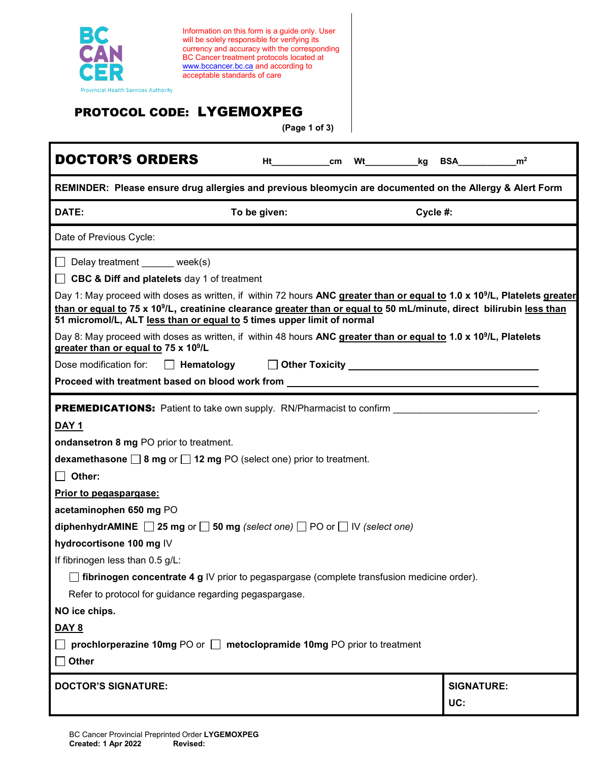

Information on this form is a guide only. User will be solely responsible for verifying its currency and accuracy with the corresponding BC Cancer treatment protocols located at [www.bccancer.bc.ca](http://www.bccancer.bc.ca/) and according to acceptable standards of care

## PROTOCOL CODE: LYGEMOXPEG

**(Page 1 of 3)**

| <b>DOCTOR'S ORDERS</b>                                                                                                                                                                                                            | Ht cm        |  | Wt |          | kg BSA_           | m <sup>2</sup> |
|-----------------------------------------------------------------------------------------------------------------------------------------------------------------------------------------------------------------------------------|--------------|--|----|----------|-------------------|----------------|
| REMINDER: Please ensure drug allergies and previous bleomycin are documented on the Allergy & Alert Form                                                                                                                          |              |  |    |          |                   |                |
| DATE:                                                                                                                                                                                                                             | To be given: |  |    | Cycle #: |                   |                |
| Date of Previous Cycle:                                                                                                                                                                                                           |              |  |    |          |                   |                |
| $\Box$ Delay treatment week(s)<br><b>CBC &amp; Diff and platelets</b> day 1 of treatment<br>Day 1: May proceed with doses as written, if within 72 hours ANC greater than or equal to 1.0 x 10 <sup>9</sup> /L, Platelets greater |              |  |    |          |                   |                |
| than or equal to 75 x 10 <sup>9</sup> /L, creatinine clearance greater than or equal to 50 mL/minute, direct bilirubin less than<br>51 micromol/L, ALT less than or equal to 5 times upper limit of normal                        |              |  |    |          |                   |                |
| Day 8: May proceed with doses as written, if within 48 hours ANC greater than or equal to 1.0 x 10 <sup>9</sup> /L, Platelets<br>greater than or equal to 75 x 10 <sup>9</sup> /L                                                 |              |  |    |          |                   |                |
| Dose modification for:<br>$\Box$ Hematology $\Box$ Other Toxicity $\Box$                                                                                                                                                          |              |  |    |          |                   |                |
| Proceed with treatment based on blood work from North Charlotter and the control of the control of the control o                                                                                                                  |              |  |    |          |                   |                |
| <b>PREMEDICATIONS:</b> Patient to take own supply. RN/Pharmacist to confirm                                                                                                                                                       |              |  |    |          |                   |                |
| <b>DAY 1</b>                                                                                                                                                                                                                      |              |  |    |          |                   |                |
| ondansetron 8 mg PO prior to treatment.                                                                                                                                                                                           |              |  |    |          |                   |                |
| dexamethasone $\Box$ 8 mg or $\Box$ 12 mg PO (select one) prior to treatment.                                                                                                                                                     |              |  |    |          |                   |                |
| $\Box$ Other:                                                                                                                                                                                                                     |              |  |    |          |                   |                |
| Prior to pegaspargase:                                                                                                                                                                                                            |              |  |    |          |                   |                |
| acetaminophen 650 mg PO                                                                                                                                                                                                           |              |  |    |          |                   |                |
| diphenhydrAMINE $\Box$ 25 mg or $\Box$ 50 mg (select one) $\Box$ PO or $\Box$ IV (select one)                                                                                                                                     |              |  |    |          |                   |                |
| hydrocortisone 100 mg IV                                                                                                                                                                                                          |              |  |    |          |                   |                |
| If fibrinogen less than 0.5 g/L:                                                                                                                                                                                                  |              |  |    |          |                   |                |
| $\Box$ fibrinogen concentrate 4 g IV prior to pegaspargase (complete transfusion medicine order).                                                                                                                                 |              |  |    |          |                   |                |
| Refer to protocol for guidance regarding pegaspargase.                                                                                                                                                                            |              |  |    |          |                   |                |
| NO ice chips.                                                                                                                                                                                                                     |              |  |    |          |                   |                |
| <b>DAY 8</b>                                                                                                                                                                                                                      |              |  |    |          |                   |                |
| prochlorperazine 10mg PO or $\Box$ metoclopramide 10mg PO prior to treatment                                                                                                                                                      |              |  |    |          |                   |                |
| $\Box$ Other                                                                                                                                                                                                                      |              |  |    |          |                   |                |
| <b>DOCTOR'S SIGNATURE:</b>                                                                                                                                                                                                        |              |  |    |          | <b>SIGNATURE:</b> |                |
|                                                                                                                                                                                                                                   |              |  |    |          | UC:               |                |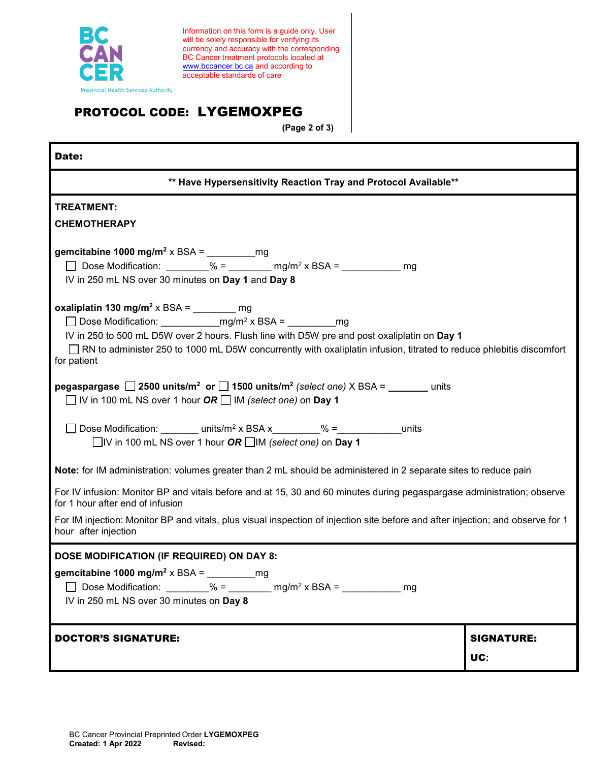

Information on this form is a guide only. User will be solely responsible for verifying its currency and accuracy with the corresponding BC Cancer treatment protocols located at [www.bccancer.bc.ca](http://www.bccancer.bc.ca/) and according to acceptable standards of care

## PROTOCOL CODE: LYGEMOXPEG

**(Page 2 of 3)**

| Date:                                                                                                                                                                                                                             |                          |  |  |  |  |  |
|-----------------------------------------------------------------------------------------------------------------------------------------------------------------------------------------------------------------------------------|--------------------------|--|--|--|--|--|
| ** Have Hypersensitivity Reaction Tray and Protocol Available**                                                                                                                                                                   |                          |  |  |  |  |  |
| <b>TREATMENT:</b>                                                                                                                                                                                                                 |                          |  |  |  |  |  |
| <b>CHEMOTHERAPY</b>                                                                                                                                                                                                               |                          |  |  |  |  |  |
| gemcitabine 1000 mg/m <sup>2</sup> x BSA = $\frac{1}{2}$ mg<br>Dose Modification: $\frac{96}{2} = \frac{mg}{m^2} \times BSA = \frac{mg}{m^2}$<br>$\Box$<br>IV in 250 mL NS over 30 minutes on Day 1 and Day 8                     |                          |  |  |  |  |  |
| oxaliplatin 130 mg/m <sup>2</sup> x BSA = ________ mg                                                                                                                                                                             |                          |  |  |  |  |  |
|                                                                                                                                                                                                                                   |                          |  |  |  |  |  |
| IV in 250 to 500 mL D5W over 2 hours. Flush line with D5W pre and post oxaliplatin on Day 1<br>RN to administer 250 to 1000 mL D5W concurrently with oxaliplatin infusion, titrated to reduce phlebitis discomfort<br>for patient |                          |  |  |  |  |  |
| <b>pegaspargase</b> 2500 units/m <sup>2</sup> or 1500 units/m <sup>2</sup> (select one) X BSA = units<br>$\Box$ IV in 100 mL NS over 1 hour OR $\Box$ IM (select one) on Day 1                                                    |                          |  |  |  |  |  |
| □ Dose Modification: units/m <sup>2</sup> x BSA x $\frac{1}{2}$ = $\frac{1}{2}$ units<br>$\Box$ IV in 100 mL NS over 1 hour OR $\Box$ IM (select one) on Day 1                                                                    |                          |  |  |  |  |  |
| Note: for IM administration: volumes greater than 2 mL should be administered in 2 separate sites to reduce pain                                                                                                                  |                          |  |  |  |  |  |
| For IV infusion: Monitor BP and vitals before and at 15, 30 and 60 minutes during pegaspargase administration; observe<br>for 1 hour after end of infusion                                                                        |                          |  |  |  |  |  |
| For IM injection: Monitor BP and vitals, plus visual inspection of injection site before and after injection; and observe for 1<br>hour after injection                                                                           |                          |  |  |  |  |  |
| DOSE MODIFICATION (IF REQUIRED) ON DAY 8:                                                                                                                                                                                         |                          |  |  |  |  |  |
| gemcitabine 1000 mg/m <sup>2</sup> x BSA =<br>□ Dose Modification: ________% = ________ mg/m <sup>2</sup> x BSA = _________ mg<br>IV in 250 mL NS over 30 minutes on Day 8                                                        |                          |  |  |  |  |  |
| <b>DOCTOR'S SIGNATURE:</b>                                                                                                                                                                                                        | <b>SIGNATURE:</b><br>UC: |  |  |  |  |  |